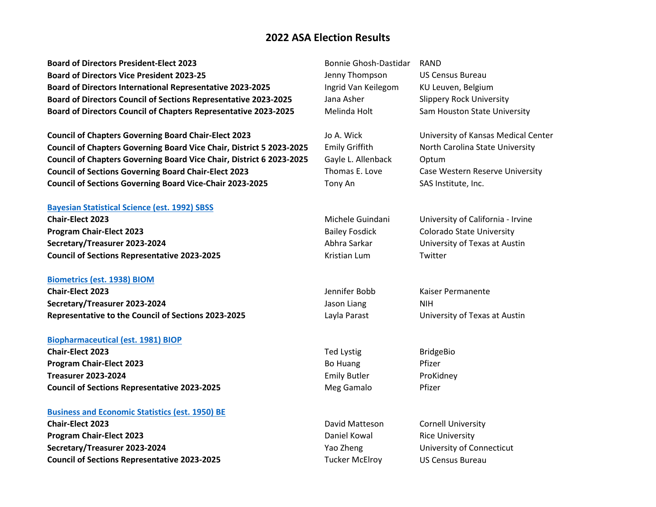**Board of Directors President-Elect 2023** Bonnie Ghosh-Dastidar RAND **Board of Directors Vice President 2023-25 Jenny Thompson** US Census Bureau Board of Directors International Representative 2023-2025 **Ingrid Van Keilegom KU Leuven, Belgium Board of Directors Council of Sections Representative 2023-2025** Jana Asher Slippery Rock University **Board of Directors Council of Chapters Representative 2023-2025** Melinda Holt Sam Houston State University

**Council of Chapters Governing Board Chair-Elect 2023** Jo A. Wick University of Kansas Medical Center **Council of Chapters Governing Board Vice Chair, District 5 2023-2025** Emily Griffith North Carolina State University **Council of Chapters Governing Board Vice Chair, District 6 2023-2025** Gayle L. Allenback Optum **Council of Sections Governing Board Chair-Elect 2023** Thomas E. Love Case Western Reserve University **Council of Sections Governing Board Vice-Chair 2023-2025** Tony An SAS Institute, Inc.

## **[Bayesian Statistical Science](http://community.amstat.org/sbss/home) (est. 1992) SBSS**

**Chair-Elect 2023** Michele Guindani University of California - Irvine **Program Chair-Elect 2023 Bailey Fosdick Colorado State University Secretary/Treasurer 2023-2024** Abhra Sarkar University of Texas at Austin **Council of Sections Representative 2023-2025** Kristian Lum Twitter

### **[Biometrics](http://community.amstat.org/biometricsbiom/home) (est. 1938) BIOM**

**Chair-Elect 2023** Jennifer Bobb Kaiser Permanente **Secretary/Treasurer 2023-2024 Secretary/Treasurer 2023-2024 Jason Liang MIH Representative to the Council of Sections 2023-2025** Layla Parast University of Texas at Austin

## **[Biopharmaceutical](http://community.amstat.org/BioP/home) (est. 1981) BIOP**

**Chair-Elect 2023** BridgeBio **Program Chair-Elect 2023 Bo Huang Pfizer Treasurer 2023-2024 Emily Butler ProKidney ProKidney Council of Sections Representative 2023-2025** Meg Gamalo Pfizer

#### **[Business and Economic Statistics](http://community.amstat.org/businessandeconomicstatisticssection/home) (est. 1950) BE**

**Chair-Elect 2023 Chair-Elect 2023 David Matteson** Cornell University **Program Chair-Elect 2023 Daniel Kowal Rice University Secretary/Treasurer 2023-2024** Yao Zheng University of Connecticut **Council of Sections Representative 2023-2025** Tucker McElroy US Census Bureau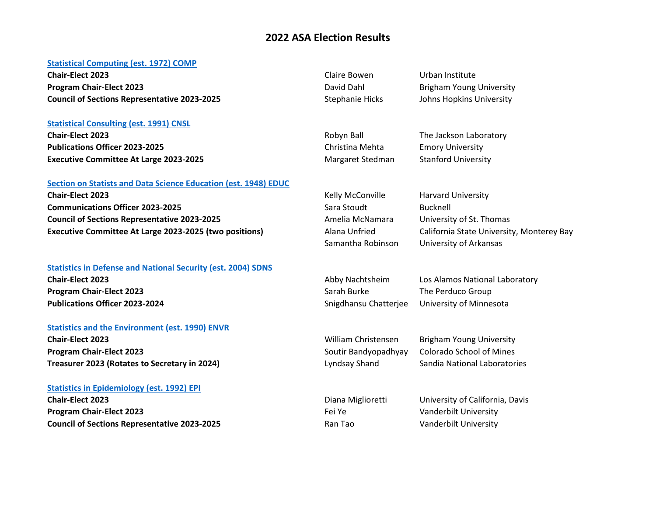## **[Statistical Computing](http://stat-computing.org/) (est. 1972) COMP**

**Chair-Elect 2023** Claire Bowen Urban Institute **Program Chair-Elect 2023 David Dahl Brigham Young University Council of Sections Representative 2023-2025** Stephanie Hicks Johns Hopkins University

## **[Statistical Consulting](http://community.amstat.org/CNSL/Home/) (est. 1991) CNSL**

**Chair-Elect 2023 Chair-Elect 2023 Robyn Ball** The Jackson Laboratory **Publications Officer 2023-2025** Christina Mehta Emory University **Executive Committee At Large 2023-2025** Margaret Stedman Stanford University

## **[Section on Statists and Data Science Education](http://community.amstat.org/statisticaleducationsection/home) (est. 1948) EDUC**

**Chair-Elect 2023 Chair-Elect 2023 Kelly McConville** Harvard University **Communications Officer 2023-2025** Sara Stoudt Bucknell **Council of Sections Representative 2023-2025** Amelia McNamara University of St. Thomas **Executive Committee At Large 2023-2025 (two positions)** Alana Unfried California State University, Monterey Bay

## **[Statistics in Defense and National Security](http://community.amstat.org/sdns/home) (est. 2004) SDNS Chair-Elect 2023** Abby Nachtsheim Los Alamos National Laboratory

**Program Chair-Elect 2023 Sarah Burke The Perduco Group** Sarah Burke The Perduco Group **Publications Officer 2023-2024** Snigdhansu Chatterjee University of Minnesota

### **[Statistics and the Environment](http://community.amstat.org/ENVR/Home) (est. 1990) ENVR**

**Chair-Elect 2023** William Christensen Brigham Young University **Program Chair-Elect 2023** Soutir Bandyopadhyay Colorado School of Mines **Treasurer 2023 (Rotates to Secretary in 2024)** Lyndsay Shand Sandia National Laboratories

### **[Statistics in Epidemiology](http://community.amstat.org/sie/home) (est. 1992) EPI**

**Chair-Elect 2023** Diana Miglioretti University of California, Davis **Program Chair-Elect 2023 Fei Ye Vanderbilt University Program Chair-Elect 2023 Council of Sections Representative 2023-2025** Ran Tao Vanderbilt University

Samantha Robinson University of Arkansas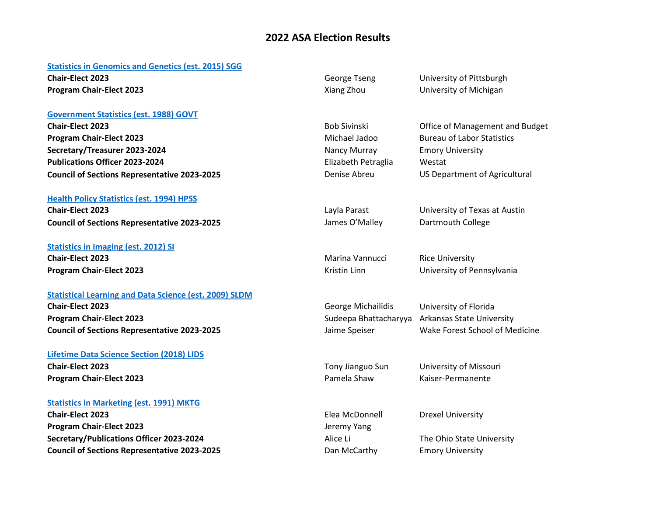#### **Statistics in Genomics and Genetics (est. 2015) SGG**

**Chair-Elect 2023 Chair-Elect 2023 George Tseng** University of Pittsburgh **Program Chair-Elect 2023 Xiang Zhou University of Michigan** 

### **[Government Statistics](http://community.amstat.org/governmentstatisticssection/home) (est. 1988) GOVT**

**Chair-Elect 2023 Chair-Elect 2023 Bob Sivinski Bob Sivinski** Office of Management and Budget **Program Chair-Elect 2023** Michael Jadoo Bureau of Labor Statistics **Secretary/Treasurer 2023-2024** Nancy Murray Emory University **Publications Officer 2023-2024** Elizabeth Petraglia Westat **Council of Sections Representative 2023-2025** Denise Abreu US Department of Agricultural

### **[Health Policy Statistics](http://community.amstat.org/HPSS/Home/) (est. 1994) HPSS**

**Chair-Elect 2023** Layla Parast University of Texas at Austin **Council of Sections Representative 2023-2025** James O'Malley Dartmouth College

# **[Statistics in Imaging](http://community.amstat.org/statisticsinimagingsection/home) (est. 2012) SI Chair-Elect 2023 Marina Vannucci** Rice University

## **[Statistical Learning and Data Science](http://community.amstat.org/slds/home) (est. 2009) SLDM**

**Chair-Elect 2023** George Michailidis University of Florida **Program Chair-Elect 2023** Sudeepa Bhattacharyya Arkansas State University **Council of Sections Representative 2023-2025** Jaime Speiser Wake Forest School of Medicine

## **[Lifetime Data Science Section \(2018\) LIDS](https://community.amstat.org/lids/home) Chair-Elect 2023** Tony Jianguo Sun University of Missouri **Program Chair-Elect 2023 Pamela Shaw Kaiser-Permanente**

## **[Statistics in Marketing](http://community.amstat.org/statisticsinmarketingsection/home) (est. 1991) MKTG**

**Chair-Elect 2023** Elea McDonnell Drexel University **Program Chair-Elect 2023 Jeremy Yang Secretary/Publications Officer 2023-2024** Alice Li Alice Li The Ohio State University **Council of Sections Representative 2023-2025** Dan McCarthy Emory University

**Program Chair-Elect 2023 Contained Act 2023** Kristin Linn **Contained Burners Contained Burners** University of Pennsylvania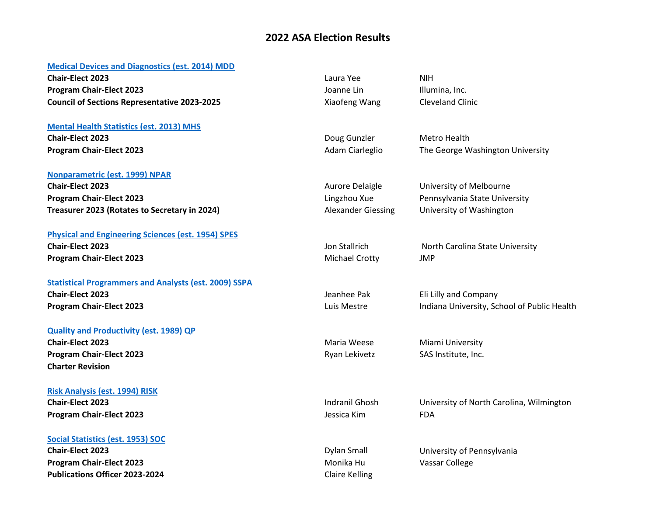## **[Medical Devices and Diagnostics](http://community.amstat.org/mdd/home) (est. 2014) MDD**

**Chair-Elect 2023** Laura Yee NIH **Program Chair-Elect 2023 Community Community Community Community Community Community Community Community Community Community Community Community Community Community Community Community Community Community Community Comm Council of Sections Representative 2023-2025** Xiaofeng Wang Cleveland Clinic

## **[Mental Health Statistics](http://community.amstat.org/mhs/home/) (est. 2013) MHS**

**Chair-Elect 2023 Chair-Elect 2023 Doug Gunzler** Metro Health

## **[Nonparametric](http://community.amstat.org/nonparametricstatisticssection/home) (est. 1999) NPAR**

**Chair-Elect 2023 Chair-Elect 2023 Aurore Delaigle** University of Melbourne **Program Chair-Elect 2023 Lingzhou Xue** Pennsylvania State University **Treasurer 2023 (Rotates to Secretary in 2024)** Alexander Giessing University of Washington

## **[Physical and Engineering Sciences](http://community.amstat.org/SPES/Home) (est. 1954) SPES**

**Program Chair-Elect 2023** Michael Crotty Michael Crotty MP

# **[Statistical Programmers and Analysts](http://community.amstat.org/SSPA/Home/) (est. 2009) SSPA**

### **[Quality and Productivity](http://community.amstat.org/qp/Home/) (est. 1989) QP**

**Chair-Elect 2023** 2023 2023 2023 2023 2024 2023 2024 2023 2024 2023 2024 2023 2024 2023 2024 2025 2027 2028 2029 2022 2023 2022 2023 2022 2023 2022 2023 2022 2023 2022 2023 2022 2023 2022 2023 2022 2023 2022 2023 2022 202 **Program Chair-Elect 2023 Ryan Lekivetz** SAS Institute, Inc. **Charter Revision**

## **[Risk Analysis](http://community.amstat.org/riskanalysissection/home) (est. 1994) RISK**

**Chair-Elect 2023** Indranil Ghosh University of North Carolina, Wilmington **Program Chair-Elect 2023** Jessica Kim FDA

### **[Social Statistics](http://community.amstat.org/socialstatisticssection/home) (est. 1953) SOC**

**Chair-Elect 2023** Dylan Small University of Pennsylvania **Program Chair-Elect 2023 Monika Hu Vassar College Publications Officer 2023-2024** Claire Kelling

**Program Chair-Elect 2023 Adam Ciarleglio** The George Washington University

**Chair-Elect 2023 Chair-Elect 2023 Chair-Elect 2023 Jon Stallrich North Carolina State University** 

**Chair-Elect 2023 Chair-Elect 2023 Jeannee Pak** Eli Lilly and Company **Program Chair-Elect 2023 Luis Mestre** Indiana University, School of Public Health